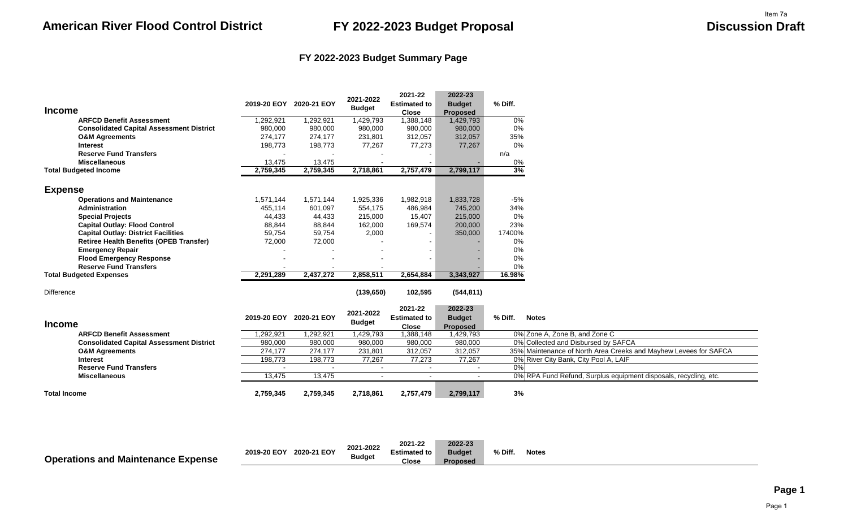### **FY 2022-2023 Budget Summary Page**

|                                                 | 2019-20 EOY | 2020-21 EOY | 2021-2022     | 2021-22<br><b>Estimated to</b> | 2022-23<br><b>Budget</b> | % Diff.                                                          |
|-------------------------------------------------|-------------|-------------|---------------|--------------------------------|--------------------------|------------------------------------------------------------------|
| <b>Income</b>                                   |             |             | <b>Budget</b> | <b>Close</b>                   | <b>Proposed</b>          |                                                                  |
| <b>ARFCD Benefit Assessment</b>                 | 1,292,921   | 1,292,921   | 1,429,793     | 1,388,148                      | 1,429,793                | 0%                                                               |
| <b>Consolidated Capital Assessment District</b> | 980,000     | 980,000     | 980,000       | 980,000                        | 980,000                  | 0%                                                               |
| <b>O&amp;M Agreements</b>                       | 274,177     | 274,177     | 231,801       | 312,057                        | 312,057                  | 35%                                                              |
| <b>Interest</b>                                 | 198,773     | 198,773     | 77,267        | 77,273                         | 77,267                   | 0%                                                               |
| <b>Reserve Fund Transfers</b>                   |             |             |               |                                |                          | n/a                                                              |
| <b>Miscellaneous</b>                            | 13,475      | 13,475      |               |                                |                          | 0%                                                               |
| <b>Total Budgeted Income</b>                    | 2,759,345   | 2,759,345   | 2,718,861     | 2,757,479                      | 2,799,117                | 3%                                                               |
|                                                 |             |             |               |                                |                          |                                                                  |
| <b>Expense</b>                                  |             |             |               |                                |                          |                                                                  |
| <b>Operations and Maintenance</b>               | 1,571,144   | 1,571,144   | 1,925,336     | 1,982,918                      | 1,833,728                | $-5%$                                                            |
| Administration                                  | 455,114     | 601,097     | 554,175       | 486,984                        | 745,200                  | 34%                                                              |
| <b>Special Projects</b>                         | 44,433      | 44,433      | 215,000       | 15,407                         | 215,000                  | 0%                                                               |
| <b>Capital Outlay: Flood Control</b>            | 88,844      | 88,844      | 162,000       | 169,574                        | 200,000                  | 23%                                                              |
| <b>Capital Outlay: District Facilities</b>      | 59,754      | 59,754      | 2,000         |                                | 350,000                  | 17400%                                                           |
| <b>Retiree Health Benefits (OPEB Transfer)</b>  | 72,000      | 72,000      |               |                                |                          | 0%                                                               |
| <b>Emergency Repair</b>                         |             |             |               |                                |                          | 0%                                                               |
| <b>Flood Emergency Response</b>                 |             |             |               |                                |                          | 0%                                                               |
| <b>Reserve Fund Transfers</b>                   |             |             |               |                                |                          | 0%                                                               |
| <b>Total Budgeted Expenses</b>                  | 2,291,289   | 2,437,272   | 2,858,511     | 2,654,884                      | 3,343,927                | 16.98%                                                           |
| <b>Difference</b>                               |             |             | (139, 650)    | 102,595                        | (544, 811)               |                                                                  |
|                                                 |             |             |               | 2021-22                        | 2022-23                  |                                                                  |
|                                                 | 2019-20 EOY | 2020-21 EOY | 2021-2022     | <b>Estimated to</b>            | <b>Budget</b>            | % Diff.<br><b>Notes</b>                                          |
| <b>Income</b>                                   |             |             | <b>Budget</b> | <b>Close</b>                   | <b>Proposed</b>          |                                                                  |
| <b>ARFCD Benefit Assessment</b>                 | 1,292,921   | 1,292,921   | 1,429,793     | 1,388,148                      | 1,429,793                | 0% Zone A, Zone B, and Zone C                                    |
| <b>Consolidated Capital Assessment District</b> | 980,000     | 980,000     | 980,000       | 980,000                        | 980,000                  | 0% Collected and Disbursed by SAFCA                              |
| <b>O&amp;M Agreements</b>                       | 274,177     | 274,177     | 231,801       | 312,057                        | 312,057                  | 35% Maintenance of North Area Creeks and Mayhew Levees for SAFCA |
| <b>Interest</b>                                 | 198,773     | 198,773     | 77,267        | 77,273                         | 77,267                   | 0% River City Bank, City Pool A, LAIF                            |
| <b>Reserve Fund Transfers</b>                   |             |             | $\sim$        |                                | $\overline{a}$           | 0%                                                               |
| <b>Miscellaneous</b>                            | 13,475      | 13,475      |               |                                |                          | 0% RPA Fund Refund, Surplus equipment disposals, recycling, etc. |
| <b>Total Income</b>                             | 2,759,345   | 2,759,345   | 2,718,861     | 2,757,479                      | 2,799,117                | 3%                                                               |

|                                           |             |             | 2021-2022     | 2021-22             | 2022-23         |         |              |  |
|-------------------------------------------|-------------|-------------|---------------|---------------------|-----------------|---------|--------------|--|
|                                           | 2019-20 EOY | 2020-21 EOY |               | <b>Estimated to</b> | <b>Budget</b>   | % Diff. | <b>Notes</b> |  |
| <b>Operations and Maintenance Expense</b> |             |             | <b>Budget</b> | Close               | <b>Proposed</b> |         |              |  |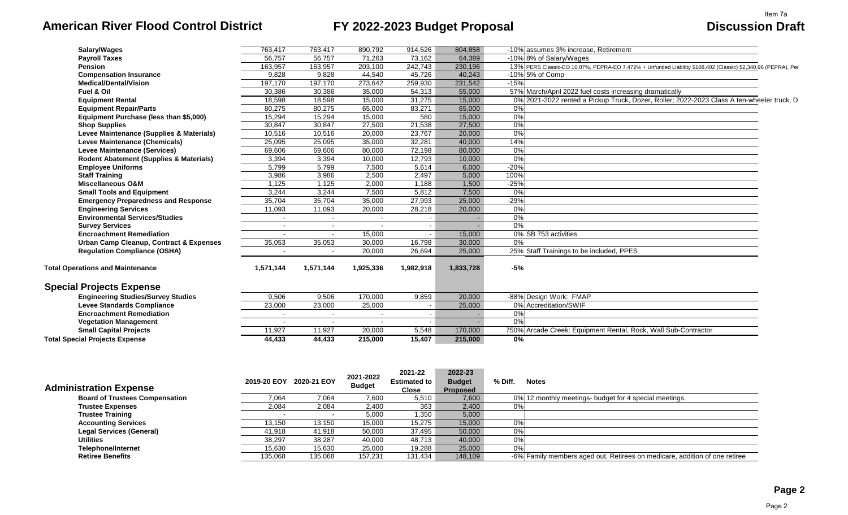# **American River Flood Control District FY 2022-2023 Budget Proposal Discussion Draft**

| Salary/Wages                                       | 763,417                  | 763,417   | 890,792   | 914,526   | 804,858   | -10% assumes 3% increase, Retirement                                                                         |
|----------------------------------------------------|--------------------------|-----------|-----------|-----------|-----------|--------------------------------------------------------------------------------------------------------------|
| <b>Payroll Taxes</b>                               | 56,757                   | 56,757    | 71,263    | 73,162    | 64,389    | -10% 8% of Salary/Wages                                                                                      |
| Pension                                            | 163,957                  | 163,957   | 203,100   | 242,743   | 230,196   | 13% PERS Classic-EO 10.87%, PEPRA-EO 7.472% + Unfunded Liability \$108,402 (Classic) \$2,340.96 (PEPRA), Per |
| <b>Compensation Insurance</b>                      | 9.828                    | 9.828     | 44.540    | 45,726    | 40.243    | -10% 5% of Comp                                                                                              |
| <b>Medical/Dental/Vision</b>                       | 197,170                  | 197,170   | 273,642   | 259,930   | 231,542   | $-15%$                                                                                                       |
| Fuel & Oil                                         | 30,386                   | 30,386    | 35,000    | 54,313    | 55,000    | 57% March/April 2022 fuel costs increasing dramatically                                                      |
| <b>Equipment Rental</b>                            | 18,598                   | 18,598    | 15,000    | 31,275    | 15,000    | 0% 2021-2022 rented a Pickup Truck, Dozer, Roller; 2022-2023 Class A ten-wheeler truck, D                    |
| <b>Equipment Repair/Parts</b>                      | 80,275                   | 80,275    | 65,000    | 83,271    | 65,000    | 0%                                                                                                           |
| Equipment Purchase (less than \$5,000)             | 15,294                   | 15,294    | 15,000    | 580       | 15,000    | 0%                                                                                                           |
| <b>Shop Supplies</b>                               | 30,847                   | 30,847    | 27,500    | 21,538    | 27,500    | $0\%$                                                                                                        |
| Levee Maintenance (Supplies & Materials)           | 10,516                   | 10,516    | 20,000    | 23.767    | 20,000    | 0%                                                                                                           |
| Levee Maintenance (Chemicals)                      | 25,095                   | 25,095    | 35,000    | 32,281    | 40,000    | 14%                                                                                                          |
| <b>Levee Maintenance (Services)</b>                | 69,606                   | 69,606    | 80.000    | 72,198    | 80,000    | 0%                                                                                                           |
| Rodent Abatement (Supplies & Materials)            | 3,394                    | 3,394     | 10,000    | 12,793    | 10,000    | 0%                                                                                                           |
| <b>Employee Uniforms</b>                           | 5,799                    | 5,799     | 7,500     | 5,614     | 6,000     | $-20%$                                                                                                       |
| <b>Staff Training</b>                              | 3,986                    | 3,986     | 2,500     | 2,497     | 5,000     | 100%                                                                                                         |
| <b>Miscellaneous O&amp;M</b>                       | 1,125                    | 1,125     | 2,000     | 1,188     | 1,500     | $-25%$                                                                                                       |
| <b>Small Tools and Equipment</b>                   | 3,244                    | 3,244     | 7,500     | 5,812     | 7,500     | 0%                                                                                                           |
| <b>Emergency Preparedness and Response</b>         | 35,704                   | 35,704    | 35,000    | 27,993    | 25,000    | $-29%$                                                                                                       |
| <b>Engineering Services</b>                        | 11,093                   | 11,093    | 20,000    | 28,218    | 20,000    | $0\%$                                                                                                        |
| <b>Environmental Services/Studies</b>              | $\sim$                   | $\sim$    | $\sim$    |           |           | $0\%$                                                                                                        |
| <b>Survey Services</b>                             | $\sim$                   | $\sim$    |           |           |           | 0%                                                                                                           |
| <b>Encroachment Remediation</b>                    |                          |           | 15,000    |           | 15,000    | 0% SB 753 activities                                                                                         |
| <b>Urban Camp Cleanup, Contract &amp; Expenses</b> | 35,053                   | 35,053    | 30,000    | 16.798    | 30,000    | 0%                                                                                                           |
| <b>Regulation Compliance (OSHA)</b>                | $\overline{\phantom{a}}$ | $\sim$    | 20,000    | 26,694    | 25,000    | 25% Staff Trainings to be included, PPES                                                                     |
| <b>Total Operations and Maintenance</b>            | 1.571.144                | 1,571,144 | 1,925,336 | 1,982,918 | 1,833,728 | -5%                                                                                                          |
| <b>Special Projects Expense</b>                    |                          |           |           |           |           |                                                                                                              |
| <b>Engineering Studies/Survey Studies</b>          | 9,506                    | 9,506     | 170,000   | 9,859     | 20,000    | -88% Design Work: FMAP                                                                                       |
| <b>Levee Standards Compliance</b>                  | 23,000                   | 23,000    | 25,000    |           | 25,000    | 0% Accreditation/SWIF                                                                                        |
| <b>Encroachment Remediation</b>                    |                          | $\sim$    |           | $\sim$    |           | 0%                                                                                                           |
| <b>Vegetation Management</b>                       |                          |           |           |           |           | 0%                                                                                                           |
| <b>Small Capital Projects</b>                      | 11,927                   | 11,927    | 20,000    | 5,548     | 170,000   | 750% Arcade Creek: Equipment Rental, Rock, Wall Sub-Contractor                                               |
| <b>Total Special Projects Expense</b>              | 44,433                   | 44,433    | 215,000   | 15,407    | 215,000   | $\overline{0\%}$                                                                                             |
|                                                    |                          |           |           |           |           |                                                                                                              |

|                                       |             |             | 2021-2022     | 2021-22             | 2022-23         |         |                                                                            |
|---------------------------------------|-------------|-------------|---------------|---------------------|-----------------|---------|----------------------------------------------------------------------------|
|                                       | 2019-20 EOY | 2020-21 EOY |               | <b>Estimated to</b> | <b>Budget</b>   | % Diff. | <b>Notes</b>                                                               |
| <b>Administration Expense</b>         |             |             | <b>Budget</b> | Close               | <b>Proposed</b> |         |                                                                            |
| <b>Board of Trustees Compensation</b> | 7,064       | 7,064       | 7,600         | 5,510               | 7,600           |         | 0% 12 monthly meetings- budget for 4 special meetings.                     |
| <b>Trustee Expenses</b>               | 2,084       | 2,084       | 2,400         | 363                 | 2,400           | 0%      |                                                                            |
| <b>Trustee Training</b>               |             | $\sim$      | 5,000         | 1,350               | 5,000           |         |                                                                            |
| <b>Accounting Services</b>            | 13,150      | 13.150      | 15,000        | 15,275              | 15,000          | 0%      |                                                                            |
| <b>Legal Services (General)</b>       | 41,918      | 41,918      | 50,000        | 37,495              | 50,000          | 0%      |                                                                            |
| <b>Utilities</b>                      | 38,297      | 38,287      | 40,000        | 48,713              | 40,000          | 0%      |                                                                            |
| <b>Telephone/Internet</b>             | 15,630      | 15,630      | 25,000        | 19,288              | 25,000          | 0%      |                                                                            |
| <b>Retiree Benefits</b>               | 135,068     | 135,068     | 157,231       | 131,434             | 148,109         |         | -6% Family members aged out, Retirees on medicare, addition of one retiree |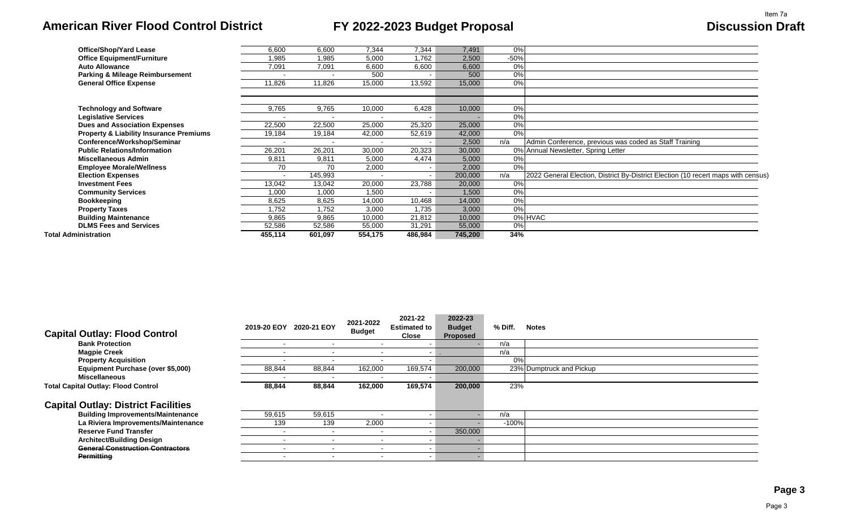# **American River Flood Control District FY 2022-2023 Budget Proposal Discussion Draft**

| <b>Office/Shop/Yard Lease</b>                      | 6,600   | 6,600   | 7,344   | 7,344   | 7,491   | 0%     |                                                                                   |
|----------------------------------------------------|---------|---------|---------|---------|---------|--------|-----------------------------------------------------------------------------------|
| <b>Office Equipment/Furniture</b>                  | 1.985   | 1,985   | 5,000   | .762    | 2,500   | $-50%$ |                                                                                   |
| <b>Auto Allowance</b>                              | 7,091   | 7,091   | 6,600   | 6,600   | 6,600   | 0%     |                                                                                   |
| <b>Parking &amp; Mileage Reimbursement</b>         |         |         | 500     |         | 500     | 0%     |                                                                                   |
| <b>General Office Expense</b>                      | 11,826  | 11,826  | 15,000  | 13,592  | 15,000  | 0%     |                                                                                   |
|                                                    |         |         |         |         |         |        |                                                                                   |
| <b>Technology and Software</b>                     | 9,765   | 9,765   | 10,000  | 6,428   | 10,000  | 0%     |                                                                                   |
| <b>Legislative Services</b>                        |         |         |         |         |         | 0%     |                                                                                   |
| <b>Dues and Association Expenses</b>               | 22,500  | 22,500  | 25,000  | 25,320  | 25,000  | 0%     |                                                                                   |
| <b>Property &amp; Liability Insurance Premiums</b> | 19,184  | 19,184  | 42,000  | 52,619  | 42,000  | 0%     |                                                                                   |
| Conference/Workshop/Seminar                        |         |         |         |         | 2,500   | n/a    | Admin Conference, previous was coded as Staff Training                            |
| <b>Public Relations/Information</b>                | 26,201  | 26,201  | 30,000  | 20,323  | 30,000  |        | 0% Annual Newsletter, Spring Letter                                               |
| <b>Miscellaneous Admin</b>                         | 9,811   | 9,811   | 5,000   | 4,474   | 5,000   | 0%     |                                                                                   |
| <b>Employee Morale/Wellness</b>                    | 70      | 70      | 2,000   |         | 2,000   | 0%     |                                                                                   |
| <b>Election Expenses</b>                           |         | 145,993 |         |         | 200,000 | n/a    | 2022 General Election, District By-District Election (10 recert maps with census) |
| <b>Investment Fees</b>                             | 13,042  | 13,042  | 20,000  | 23,788  | 20,000  | 0%     |                                                                                   |
| <b>Community Services</b>                          | 1,000   | 1,000   | 1,500   |         | 1,500   | 0%     |                                                                                   |
| <b>Bookkeeping</b>                                 | 8,625   | 8,625   | 14,000  | 10,468  | 14,000  | 0%     |                                                                                   |
| <b>Property Taxes</b>                              | 1,752   | 1,752   | 3,000   | 1,735   | 3,000   | 0%     |                                                                                   |
| <b>Building Maintenance</b>                        | 9,865   | 9,865   | 10,000  | 21,812  | 10,000  |        | 0% HVAC                                                                           |
| <b>DLMS Fees and Services</b>                      | 52,586  | 52,586  | 55,000  | 31,291  | 55,000  | 0%     |                                                                                   |
| Total Administration                               | 455,114 | 601,097 | 554,175 | 486,984 | 745,200 | 34%    |                                                                                   |

|                                            |                          |                          | 2021-2022                | 2021-22                  | 2022-23         |         |                          |
|--------------------------------------------|--------------------------|--------------------------|--------------------------|--------------------------|-----------------|---------|--------------------------|
|                                            | 2019-20 EOY              | 2020-21 EOY              | <b>Budget</b>            | Estimated to             | <b>Budget</b>   | % Diff. | <b>Notes</b>             |
| <b>Capital Outlay: Flood Control</b>       |                          |                          |                          | <b>Close</b>             | <b>Proposed</b> |         |                          |
| <b>Bank Protection</b>                     | $\overline{\phantom{0}}$ | $\sim$                   | $\sim$                   | $\blacksquare$           |                 | n/a     |                          |
| <b>Magpie Creek</b>                        |                          |                          | $\overline{\phantom{a}}$ | $\sim$                   |                 | n/a     |                          |
| <b>Property Acquisition</b>                |                          | $\sim$                   | $\blacksquare$           | $\sim$                   |                 | 0%      |                          |
| Equipment Purchase (over \$5,000)          | 88,844                   | 88,844                   | 162,000                  | 169,574                  | 200,000         |         | 23% Dumptruck and Pickup |
| <b>Miscellaneous</b>                       |                          |                          |                          |                          |                 |         |                          |
| <b>Total Capital Outlay: Flood Control</b> | 88,844                   | 88,844                   | 162,000                  | 169,574                  | 200,000         | 23%     |                          |
| <b>Capital Outlay: District Facilities</b> |                          |                          |                          |                          |                 |         |                          |
| <b>Building Improvements/Maintenance</b>   | 59,615                   | 59,615                   |                          | $\overline{\phantom{0}}$ |                 | n/a     |                          |
| La Riviera Improvements/Maintenance        | 139                      | 139                      | 2,000                    |                          |                 | $-100%$ |                          |
| <b>Reserve Fund Transfer</b>               |                          | $\sim$                   |                          | $\sim$                   | 350,000         |         |                          |
| <b>Architect/Building Design</b>           |                          |                          | $\,$ $\,$                |                          |                 |         |                          |
| <b>General Construction Contractors</b>    | $\blacksquare$           | $\overline{\phantom{a}}$ | $\,$ $\,$                | $\blacksquare$           |                 |         |                          |
| <b>Permitting</b>                          |                          |                          |                          | $\overline{\phantom{a}}$ |                 |         |                          |
|                                            |                          |                          |                          |                          |                 |         |                          |

### **Page 3**